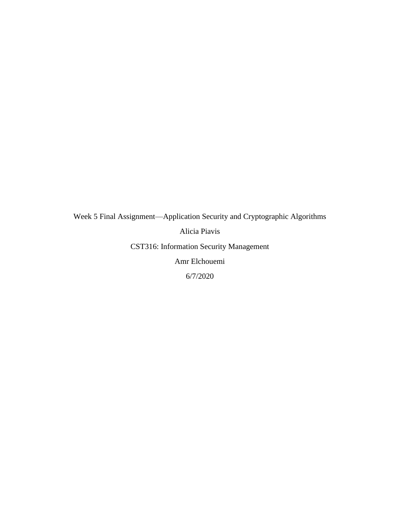## Week 5 Final Assignment—Application Security and Cryptographic Algorithms Alicia Piavis CST316: Information Security Management Amr Elchouemi 6/7/2020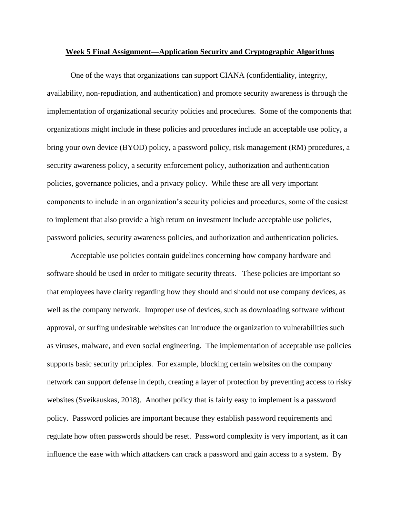## **Week 5 Final Assignment—Application Security and Cryptographic Algorithms**

One of the ways that organizations can support CIANA (confidentiality, integrity, availability, non-repudiation, and authentication) and promote security awareness is through the implementation of organizational security policies and procedures. Some of the components that organizations might include in these policies and procedures include an acceptable use policy, a bring your own device (BYOD) policy, a password policy, risk management (RM) procedures, a security awareness policy, a security enforcement policy, authorization and authentication policies, governance policies, and a privacy policy. While these are all very important components to include in an organization's security policies and procedures, some of the easiest to implement that also provide a high return on investment include acceptable use policies, password policies, security awareness policies, and authorization and authentication policies.

Acceptable use policies contain guidelines concerning how company hardware and software should be used in order to mitigate security threats. These policies are important so that employees have clarity regarding how they should and should not use company devices, as well as the company network. Improper use of devices, such as downloading software without approval, or surfing undesirable websites can introduce the organization to vulnerabilities such as viruses, malware, and even social engineering. The implementation of acceptable use policies supports basic security principles. For example, blocking certain websites on the company network can support defense in depth, creating a layer of protection by preventing access to risky websites (Sveikauskas, 2018). Another policy that is fairly easy to implement is a password policy. Password policies are important because they establish password requirements and regulate how often passwords should be reset. Password complexity is very important, as it can influence the ease with which attackers can crack a password and gain access to a system. By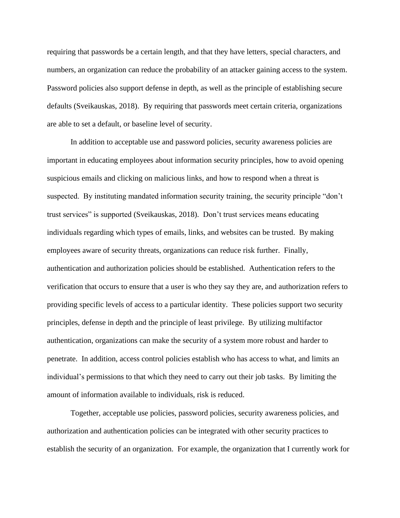requiring that passwords be a certain length, and that they have letters, special characters, and numbers, an organization can reduce the probability of an attacker gaining access to the system. Password policies also support defense in depth, as well as the principle of establishing secure defaults (Sveikauskas, 2018). By requiring that passwords meet certain criteria, organizations are able to set a default, or baseline level of security.

In addition to acceptable use and password policies, security awareness policies are important in educating employees about information security principles, how to avoid opening suspicious emails and clicking on malicious links, and how to respond when a threat is suspected. By instituting mandated information security training, the security principle "don't trust services" is supported (Sveikauskas, 2018). Don't trust services means educating individuals regarding which types of emails, links, and websites can be trusted. By making employees aware of security threats, organizations can reduce risk further. Finally, authentication and authorization policies should be established. Authentication refers to the verification that occurs to ensure that a user is who they say they are, and authorization refers to providing specific levels of access to a particular identity. These policies support two security principles, defense in depth and the principle of least privilege. By utilizing multifactor authentication, organizations can make the security of a system more robust and harder to penetrate. In addition, access control policies establish who has access to what, and limits an individual's permissions to that which they need to carry out their job tasks. By limiting the amount of information available to individuals, risk is reduced.

Together, acceptable use policies, password policies, security awareness policies, and authorization and authentication policies can be integrated with other security practices to establish the security of an organization. For example, the organization that I currently work for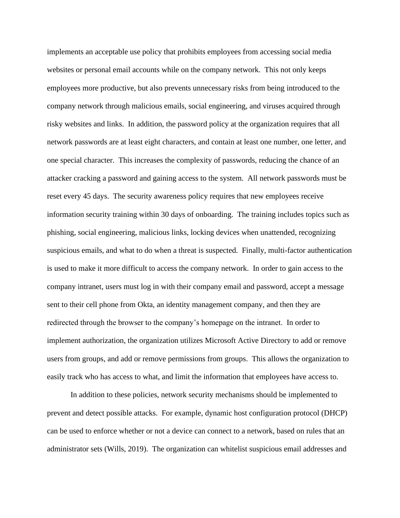implements an acceptable use policy that prohibits employees from accessing social media websites or personal email accounts while on the company network. This not only keeps employees more productive, but also prevents unnecessary risks from being introduced to the company network through malicious emails, social engineering, and viruses acquired through risky websites and links. In addition, the password policy at the organization requires that all network passwords are at least eight characters, and contain at least one number, one letter, and one special character. This increases the complexity of passwords, reducing the chance of an attacker cracking a password and gaining access to the system. All network passwords must be reset every 45 days. The security awareness policy requires that new employees receive information security training within 30 days of onboarding. The training includes topics such as phishing, social engineering, malicious links, locking devices when unattended, recognizing suspicious emails, and what to do when a threat is suspected. Finally, multi-factor authentication is used to make it more difficult to access the company network. In order to gain access to the company intranet, users must log in with their company email and password, accept a message sent to their cell phone from Okta, an identity management company, and then they are redirected through the browser to the company's homepage on the intranet. In order to implement authorization, the organization utilizes Microsoft Active Directory to add or remove users from groups, and add or remove permissions from groups. This allows the organization to easily track who has access to what, and limit the information that employees have access to.

In addition to these policies, network security mechanisms should be implemented to prevent and detect possible attacks. For example, dynamic host configuration protocol (DHCP) can be used to enforce whether or not a device can connect to a network, based on rules that an administrator sets (Wills, 2019). The organization can whitelist suspicious email addresses and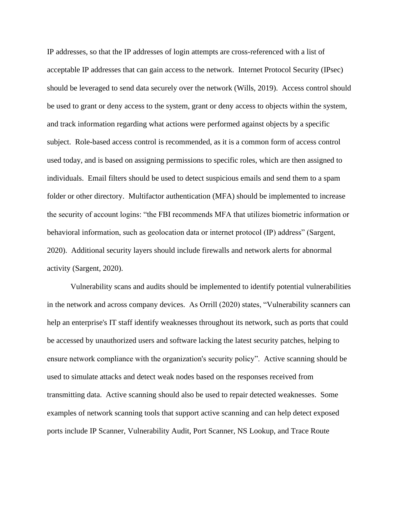IP addresses, so that the IP addresses of login attempts are cross-referenced with a list of acceptable IP addresses that can gain access to the network. Internet Protocol Security (IPsec) should be leveraged to send data securely over the network (Wills, 2019). Access control should be used to grant or deny access to the system, grant or deny access to objects within the system, and track information regarding what actions were performed against objects by a specific subject. Role-based access control is recommended, as it is a common form of access control used today, and is based on assigning permissions to specific roles, which are then assigned to individuals. Email filters should be used to detect suspicious emails and send them to a spam folder or other directory. Multifactor authentication (MFA) should be implemented to increase the security of account logins: "the FBI recommends MFA that utilizes biometric information or behavioral information, such as geolocation data or internet protocol (IP) address" (Sargent, 2020). Additional security layers should include firewalls and network alerts for abnormal activity (Sargent, 2020).

Vulnerability scans and audits should be implemented to identify potential vulnerabilities in the network and across company devices. As Orrill (2020) states, "Vulnerability scanners can help an enterprise's IT staff identify weaknesses throughout its network, such as ports that could be accessed by unauthorized users and software lacking the latest security patches, helping to ensure network compliance with the organization's security policy". Active scanning should be used to simulate attacks and detect weak nodes based on the responses received from transmitting data. Active scanning should also be used to repair detected weaknesses. Some examples of network scanning tools that support active scanning and can help detect exposed ports include IP Scanner, Vulnerability Audit, Port Scanner, NS Lookup, and Trace Route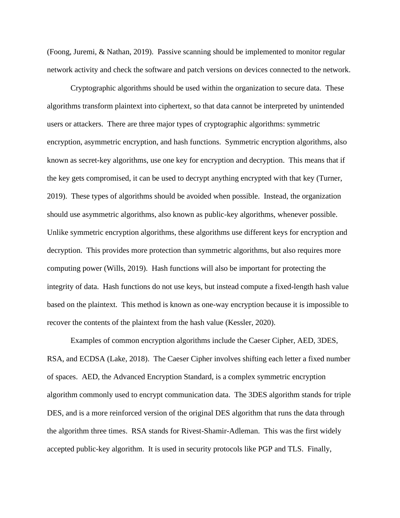(Foong, Juremi, & Nathan, 2019). Passive scanning should be implemented to monitor regular network activity and check the software and patch versions on devices connected to the network.

Cryptographic algorithms should be used within the organization to secure data. These algorithms transform plaintext into ciphertext, so that data cannot be interpreted by unintended users or attackers. There are three major types of cryptographic algorithms: symmetric encryption, asymmetric encryption, and hash functions. Symmetric encryption algorithms, also known as secret-key algorithms, use one key for encryption and decryption. This means that if the key gets compromised, it can be used to decrypt anything encrypted with that key (Turner, 2019). These types of algorithms should be avoided when possible. Instead, the organization should use asymmetric algorithms, also known as public-key algorithms, whenever possible. Unlike symmetric encryption algorithms, these algorithms use different keys for encryption and decryption. This provides more protection than symmetric algorithms, but also requires more computing power (Wills, 2019). Hash functions will also be important for protecting the integrity of data. Hash functions do not use keys, but instead compute a fixed-length hash value based on the plaintext. This method is known as one-way encryption because it is impossible to recover the contents of the plaintext from the hash value (Kessler, 2020).

Examples of common encryption algorithms include the Caeser Cipher, AED, 3DES, RSA, and ECDSA (Lake, 2018). The Caeser Cipher involves shifting each letter a fixed number of spaces. AED, the Advanced Encryption Standard, is a complex symmetric encryption algorithm commonly used to encrypt communication data. The 3DES algorithm stands for triple DES, and is a more reinforced version of the original DES algorithm that runs the data through the algorithm three times. RSA stands for Rivest-Shamir-Adleman. This was the first widely accepted public-key algorithm. It is used in security protocols like PGP and TLS. Finally,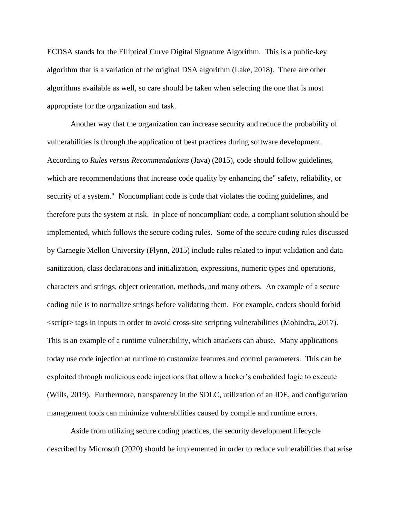ECDSA stands for the Elliptical Curve Digital Signature Algorithm. This is a public-key algorithm that is a variation of the original DSA algorithm (Lake, 2018). There are other algorithms available as well, so care should be taken when selecting the one that is most appropriate for the organization and task.

Another way that the organization can increase security and reduce the probability of vulnerabilities is through the application of best practices during software development. According to *Rules versus Recommendations* (Java) (2015), code should follow guidelines, which are recommendations that increase code quality by enhancing the" safety, reliability, or security of a system." Noncompliant code is code that violates the coding guidelines, and therefore puts the system at risk. In place of noncompliant code, a compliant solution should be implemented, which follows the secure coding rules. Some of the secure coding rules discussed by Carnegie Mellon University (Flynn, 2015) include rules related to input validation and data sanitization, class declarations and initialization, expressions, numeric types and operations, characters and strings, object orientation, methods, and many others. An example of a secure coding rule is to normalize strings before validating them. For example, coders should forbid <script> tags in inputs in order to avoid cross-site scripting vulnerabilities (Mohindra, 2017). This is an example of a runtime vulnerability, which attackers can abuse. Many applications today use code injection at runtime to customize features and control parameters. This can be exploited through malicious code injections that allow a hacker's embedded logic to execute (Wills, 2019). Furthermore, transparency in the SDLC, utilization of an IDE, and configuration management tools can minimize vulnerabilities caused by compile and runtime errors.

Aside from utilizing secure coding practices, the security development lifecycle described by Microsoft (2020) should be implemented in order to reduce vulnerabilities that arise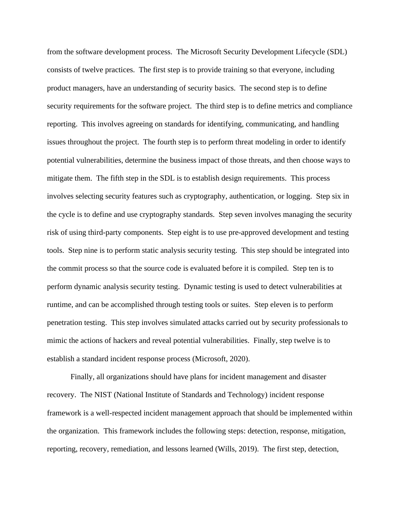from the software development process. The Microsoft Security Development Lifecycle (SDL) consists of twelve practices. The first step is to provide training so that everyone, including product managers, have an understanding of security basics. The second step is to define security requirements for the software project. The third step is to define metrics and compliance reporting. This involves agreeing on standards for identifying, communicating, and handling issues throughout the project. The fourth step is to perform threat modeling in order to identify potential vulnerabilities, determine the business impact of those threats, and then choose ways to mitigate them. The fifth step in the SDL is to establish design requirements. This process involves selecting security features such as cryptography, authentication, or logging. Step six in the cycle is to define and use cryptography standards. Step seven involves managing the security risk of using third-party components. Step eight is to use pre-approved development and testing tools. Step nine is to perform static analysis security testing. This step should be integrated into the commit process so that the source code is evaluated before it is compiled. Step ten is to perform dynamic analysis security testing. Dynamic testing is used to detect vulnerabilities at runtime, and can be accomplished through testing tools or suites. Step eleven is to perform penetration testing. This step involves simulated attacks carried out by security professionals to mimic the actions of hackers and reveal potential vulnerabilities. Finally, step twelve is to establish a standard incident response process (Microsoft, 2020).

Finally, all organizations should have plans for incident management and disaster recovery. The NIST (National Institute of Standards and Technology) incident response framework is a well-respected incident management approach that should be implemented within the organization. This framework includes the following steps: detection, response, mitigation, reporting, recovery, remediation, and lessons learned (Wills, 2019). The first step, detection,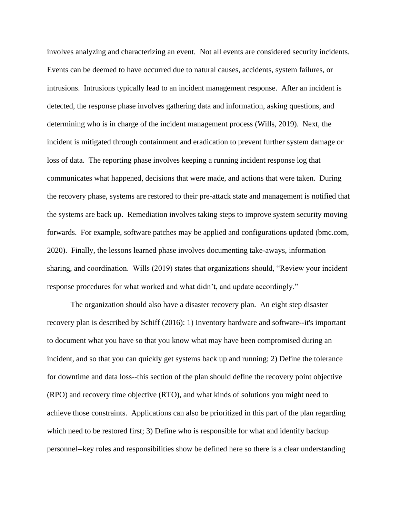involves analyzing and characterizing an event. Not all events are considered security incidents. Events can be deemed to have occurred due to natural causes, accidents, system failures, or intrusions. Intrusions typically lead to an incident management response. After an incident is detected, the response phase involves gathering data and information, asking questions, and determining who is in charge of the incident management process (Wills, 2019). Next, the incident is mitigated through containment and eradication to prevent further system damage or loss of data. The reporting phase involves keeping a running incident response log that communicates what happened, decisions that were made, and actions that were taken. During the recovery phase, systems are restored to their pre-attack state and management is notified that the systems are back up. Remediation involves taking steps to improve system security moving forwards. For example, software patches may be applied and configurations updated (bmc.com, 2020). Finally, the lessons learned phase involves documenting take-aways, information sharing, and coordination. Wills (2019) states that organizations should, "Review your incident response procedures for what worked and what didn't, and update accordingly."

The organization should also have a disaster recovery plan. An eight step disaster recovery plan is described by Schiff (2016): 1) Inventory hardware and software--it's important to document what you have so that you know what may have been compromised during an incident, and so that you can quickly get systems back up and running; 2) Define the tolerance for downtime and data loss--this section of the plan should define the recovery point objective (RPO) and recovery time objective (RTO), and what kinds of solutions you might need to achieve those constraints. Applications can also be prioritized in this part of the plan regarding which need to be restored first; 3) Define who is responsible for what and identify backup personnel--key roles and responsibilities show be defined here so there is a clear understanding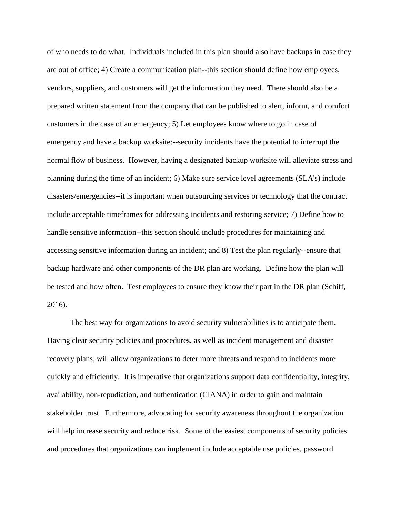of who needs to do what. Individuals included in this plan should also have backups in case they are out of office; 4) Create a communication plan--this section should define how employees, vendors, suppliers, and customers will get the information they need. There should also be a prepared written statement from the company that can be published to alert, inform, and comfort customers in the case of an emergency; 5) Let employees know where to go in case of emergency and have a backup worksite:--security incidents have the potential to interrupt the normal flow of business. However, having a designated backup worksite will alleviate stress and planning during the time of an incident; 6) Make sure service level agreements (SLA's) include disasters/emergencies--it is important when outsourcing services or technology that the contract include acceptable timeframes for addressing incidents and restoring service; 7) Define how to handle sensitive information--this section should include procedures for maintaining and accessing sensitive information during an incident; and 8) Test the plan regularly--ensure that backup hardware and other components of the DR plan are working. Define how the plan will be tested and how often. Test employees to ensure they know their part in the DR plan (Schiff, 2016).

The best way for organizations to avoid security vulnerabilities is to anticipate them. Having clear security policies and procedures, as well as incident management and disaster recovery plans, will allow organizations to deter more threats and respond to incidents more quickly and efficiently. It is imperative that organizations support data confidentiality, integrity, availability, non-repudiation, and authentication (CIANA) in order to gain and maintain stakeholder trust. Furthermore, advocating for security awareness throughout the organization will help increase security and reduce risk. Some of the easiest components of security policies and procedures that organizations can implement include acceptable use policies, password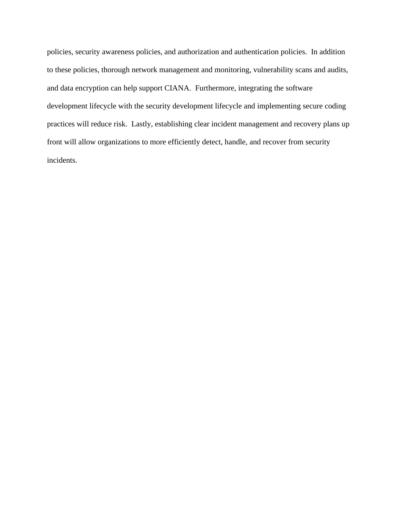policies, security awareness policies, and authorization and authentication policies. In addition to these policies, thorough network management and monitoring, vulnerability scans and audits, and data encryption can help support CIANA. Furthermore, integrating the software development lifecycle with the security development lifecycle and implementing secure coding practices will reduce risk. Lastly, establishing clear incident management and recovery plans up front will allow organizations to more efficiently detect, handle, and recover from security incidents.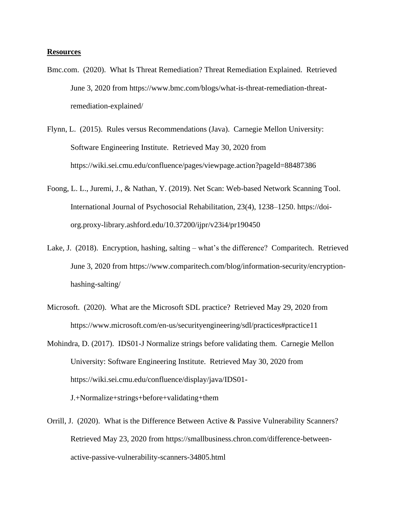## **Resources**

- Bmc.com. (2020). What Is Threat Remediation? Threat Remediation Explained. Retrieved June 3, 2020 from https://www.bmc.com/blogs/what-is-threat-remediation-threatremediation-explained/
- Flynn, L. (2015). Rules versus Recommendations (Java). Carnegie Mellon University: Software Engineering Institute. Retrieved May 30, 2020 from https://wiki.sei.cmu.edu/confluence/pages/viewpage.action?pageId=88487386
- Foong, L. L., Juremi, J., & Nathan, Y. (2019). Net Scan: Web-based Network Scanning Tool. International Journal of Psychosocial Rehabilitation, 23(4), 1238–1250. https://doiorg.proxy-library.ashford.edu/10.37200/ijpr/v23i4/pr190450
- Lake, J. (2018). Encryption, hashing, salting what's the difference? Comparitech. Retrieved June 3, 2020 from https://www.comparitech.com/blog/information-security/encryptionhashing-salting/
- Microsoft. (2020). What are the Microsoft SDL practice? Retrieved May 29, 2020 from https://www.microsoft.com/en-us/securityengineering/sdl/practices#practice11

Mohindra, D. (2017). IDS01-J Normalize strings before validating them. Carnegie Mellon University: Software Engineering Institute. Retrieved May 30, 2020 from https://wiki.sei.cmu.edu/confluence/display/java/IDS01- J.+Normalize+strings+before+validating+them

Orrill, J. (2020). What is the Difference Between Active & Passive Vulnerability Scanners? Retrieved May 23, 2020 from https://smallbusiness.chron.com/difference-betweenactive-passive-vulnerability-scanners-34805.html